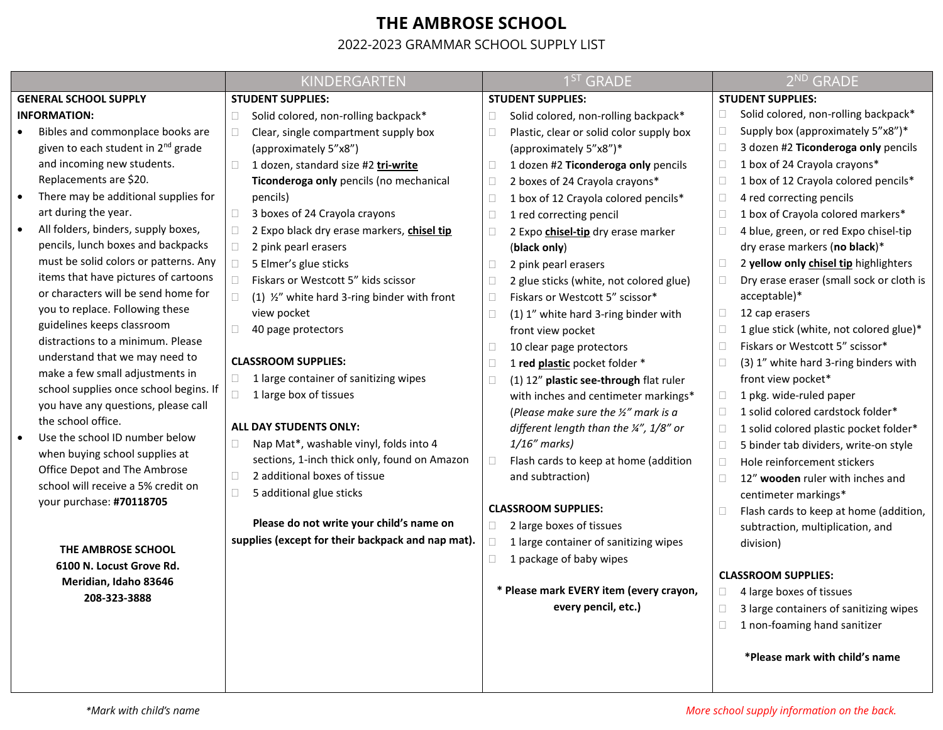## **THE AMBROSE SCHOOL**

## 2022-2023 GRAMMAR SCHOOL SUPPLY LIST

|                                                           | KINDERGARTEN                                           | 1 <sup>ST</sup> GRADE                           | 2 <sup>ND</sup> GRADE                            |
|-----------------------------------------------------------|--------------------------------------------------------|-------------------------------------------------|--------------------------------------------------|
| <b>GENERAL SCHOOL SUPPLY</b>                              | <b>STUDENT SUPPLIES:</b>                               | <b>STUDENT SUPPLIES:</b>                        | <b>STUDENT SUPPLIES:</b>                         |
| <b>INFORMATION:</b>                                       | Solid colored, non-rolling backpack*<br>$\Box$         | Solid colored, non-rolling backpack*<br>O       | Solid colored, non-rolling backpack*<br>Ω.       |
| Bibles and commonplace books are                          | $\Box$<br>Clear, single compartment supply box         | Plastic, clear or solid color supply box        | Supply box (approximately 5"x8")*<br>$\Box$      |
| given to each student in 2 <sup>nd</sup> grade            | (approximately 5"x8")                                  | (approximately 5"x8")*                          | 3 dozen #2 Ticonderoga only pencils<br>□         |
| and incoming new students.                                | $\Box$<br>1 dozen, standard size #2 tri-write          | 1 dozen #2 Ticonderoga only pencils<br>$\Box$   | 1 box of 24 Crayola crayons*<br>$\Box$           |
| Replacements are \$20.                                    | Ticonderoga only pencils (no mechanical                | 2 boxes of 24 Crayola crayons*                  | 1 box of 12 Crayola colored pencils*<br>□        |
| There may be additional supplies for                      | pencils)                                               | 1 box of 12 Crayola colored pencils*            | 4 red correcting pencils<br>Ш                    |
| art during the year.                                      | $\Box$<br>3 boxes of 24 Crayola crayons                | 1 red correcting pencil<br>□                    | 1 box of Crayola colored markers*<br>$\Box$      |
| All folders, binders, supply boxes,                       | $\Box$<br>2 Expo black dry erase markers, chisel tip   | 2 Expo chisel-tip dry erase marker              | 4 blue, green, or red Expo chisel-tip<br>□       |
| pencils, lunch boxes and backpacks                        | $\Box$<br>2 pink pearl erasers                         | (black only)                                    | dry erase markers (no black)*                    |
| must be solid colors or patterns. Any                     | $\Box$<br>5 Elmer's glue sticks                        | 2 pink pearl erasers                            | 2 yellow only chisel tip highlighters<br>□       |
| items that have pictures of cartoons                      | $\Box$<br>Fiskars or Westcott 5" kids scissor          | 2 glue sticks (white, not colored glue)         | Dry erase eraser (small sock or cloth is<br>□    |
| or characters will be send home for                       | $\Box$<br>(1) 1/2" white hard 3-ring binder with front | Fiskars or Westcott 5" scissor*                 | acceptable)*                                     |
| you to replace. Following these                           | view pocket                                            | (1) 1" white hard 3-ring binder with            | 12 cap erasers<br>П                              |
| guidelines keeps classroom                                | 40 page protectors                                     | front view pocket                               | 1 glue stick (white, not colored glue)*<br>□     |
| distractions to a minimum. Please                         |                                                        | 10 clear page protectors                        | Fiskars or Westcott 5" scissor*<br>0             |
| understand that we may need to                            | <b>CLASSROOM SUPPLIES:</b>                             | 1 red plastic pocket folder *                   | (3) 1" white hard 3-ring binders with<br>□       |
| make a few small adjustments in                           | 1 large container of sanitizing wipes                  | (1) 12" plastic see-through flat ruler          | front view pocket*                               |
| school supplies once school begins. If                    | $\Box$<br>1 large box of tissues                       | with inches and centimeter markings*            | 1 pkg. wide-ruled paper<br>0                     |
| you have any questions, please call<br>the school office. |                                                        | (Please make sure the 1/2" mark is a            | 1 solid colored cardstock folder*<br>□           |
| Use the school ID number below                            | <b>ALL DAY STUDENTS ONLY:</b>                          | different length than the ¼", 1/8" or           | 1 solid colored plastic pocket folder*<br>$\Box$ |
| when buying school supplies at                            | Nap Mat*, washable vinyl, folds into 4<br>$\Box$       | $1/16''$ marks)                                 | 5 binder tab dividers, write-on style<br>$\Box$  |
| Office Depot and The Ambrose                              | sections, 1-inch thick only, found on Amazon           | $\Box$<br>Flash cards to keep at home (addition | Hole reinforcement stickers                      |
| school will receive a 5% credit on                        | 2 additional boxes of tissue<br>$\Box$                 | and subtraction)                                | 12" wooden ruler with inches and<br>П.           |
| your purchase: #70118705                                  | $\Box$<br>5 additional glue sticks                     |                                                 | centimeter markings*                             |
|                                                           |                                                        | <b>CLASSROOM SUPPLIES:</b>                      | Flash cards to keep at home (addition,           |
|                                                           | Please do not write your child's name on               | 2 large boxes of tissues<br>$\Box$              | subtraction, multiplication, and                 |
| THE AMBROSE SCHOOL                                        | supplies (except for their backpack and nap mat).      | 1 large container of sanitizing wipes<br>$\Box$ | division)                                        |
| 6100 N. Locust Grove Rd.                                  |                                                        | 1 package of baby wipes                         |                                                  |
| Meridian, Idaho 83646                                     |                                                        |                                                 | <b>CLASSROOM SUPPLIES:</b>                       |
| 208-323-3888                                              |                                                        | * Please mark EVERY item (every crayon,         | 4 large boxes of tissues<br>$\Box$               |
|                                                           |                                                        | every pencil, etc.)                             | 3 large containers of sanitizing wipes           |
|                                                           |                                                        |                                                 | 1 non-foaming hand sanitizer                     |
|                                                           |                                                        |                                                 |                                                  |
|                                                           |                                                        |                                                 | *Please mark with child's name                   |
|                                                           |                                                        |                                                 |                                                  |